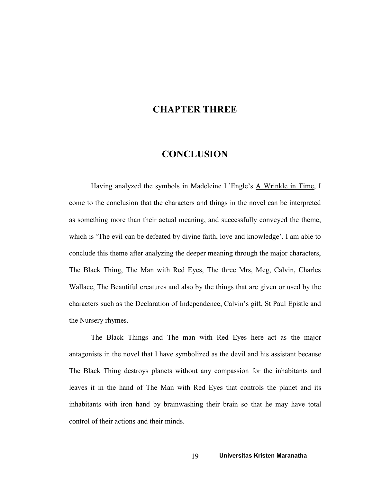## CHAPTER THREE

## **CONCLUSION**

Having analyzed the symbols in Madeleine L'Engle's A Wrinkle in Time, I come to the conclusion that the characters and things in the novel can be interpreted as something more than their actual meaning, and successfully conveyed the theme, which is 'The evil can be defeated by divine faith, love and knowledge'. I am able to conclude this theme after analyzing the deeper meaning through the major characters, The Black Thing, The Man with Red Eyes, The three Mrs, Meg, Calvin, Charles Wallace, The Beautiful creatures and also by the things that are given or used by the characters such as the Declaration of Independence, Calvin's gift, St Paul Epistle and the Nursery rhymes.

The Black Things and The man with Red Eyes here act as the major antagonists in the novel that I have symbolized as the devil and his assistant because The Black Thing destroys planets without any compassion for the inhabitants and leaves it in the hand of The Man with Red Eyes that controls the planet and its inhabitants with iron hand by brainwashing their brain so that he may have total control of their actions and their minds.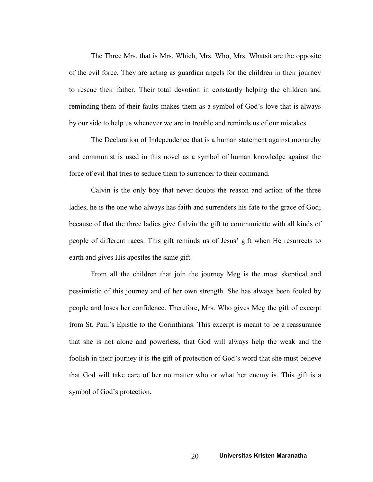The Three Mrs. that is Mrs. Which, Mrs. Who, Mrs. Whatsit are the opposite of the evil force. They are acting as guardian angels for the children in their journey to rescue their father. Their total devotion in constantly helping the children and reminding them of their faults makes them as a symbol of God's love that is always by our side to help us whenever we are in trouble and reminds us of our mistakes.

The Declaration of Independence that is a human statement against monarchy and communist is used in this novel as a symbol of human knowledge against the force of evil that tries to seduce them to surrender to their command.

Calvin is the only boy that never doubts the reason and action of the three ladies, he is the one who always has faith and surrenders his fate to the grace of God; because of that the three ladies give Calvin the gift to communicate with all kinds of people of different races. This gift reminds us of Jesus' gift when He resurrects to earth and gives His apostles the same gift.

From all the children that join the journey Meg is the most skeptical and pessimistic of this journey and of her own strength. She has always been fooled by people and loses her confidence. Therefore, Mrs. Who gives Meg the gift of excerpt from St. Paul's Epistle to the Corinthians. This excerpt is meant to be a reassurance that she is not alone and powerless, that God will always help the weak and the foolish in their journey it is the gift of protection of God's word that she must believe that God will take care of her no matter who or what her enemy is. This gift is a symbol of God's protection.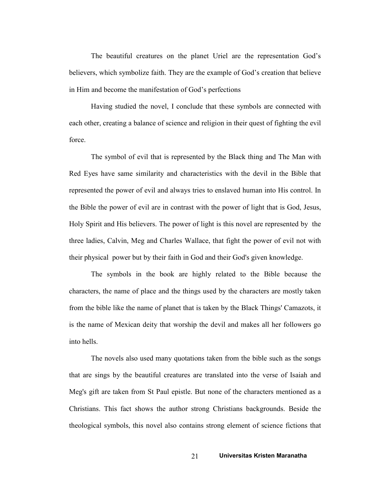The beautiful creatures on the planet Uriel are the representation God's believers, which symbolize faith. They are the example of God's creation that believe in Him and become the manifestation of God's perfections

Having studied the novel, I conclude that these symbols are connected with each other, creating a balance of science and religion in their quest of fighting the evil force.

The symbol of evil that is represented by the Black thing and The Man with Red Eyes have same similarity and characteristics with the devil in the Bible that represented the power of evil and always tries to enslaved human into His control. In the Bible the power of evil are in contrast with the power of light that is God, Jesus, Holy Spirit and His believers. The power of light is this novel are represented by the three ladies, Calvin, Meg and Charles Wallace, that fight the power of evil not with their physical power but by their faith in God and their God's given knowledge.

The symbols in the book are highly related to the Bible because the characters, the name of place and the things used by the characters are mostly taken from the bible like the name of planet that is taken by the Black Things' Camazots, it is the name of Mexican deity that worship the devil and makes all her followers go into hells.

The novels also used many quotations taken from the bible such as the songs that are sings by the beautiful creatures are translated into the verse of Isaiah and Meg's gift are taken from St Paul epistle. But none of the characters mentioned as a Christians. This fact shows the author strong Christians backgrounds. Beside the theological symbols, this novel also contains strong element of science fictions that